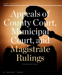# Appeals of County Court, Municipal Court, and Magistrate Rulings

BY PAIGE MACKEY MURRAY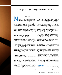*This article outlines the key procedural requirements for appealing municipal court, county court, and magistrate rulings, with a focus on the statutes and rules that govern these appeals.*

ot every appeal is before the highest court in<br>
the land, nor does every appeal start with a<br>
judgment entered by a district court judge. Many<br>
appeals are of decisions from a municipal judge,<br>
a county court judge, or a m the land, nor does every appeal start with a judgment entered by a district court judge. Many appeals are of decisions from a municipal judge, are usually less costly, complex, and time-consuming than appeals to higher courts, they require an understanding of complex statutory and rule frameworks. Being able to navigate these requirements and provide appellate services at the lower court level can be a meaningful means of achieving justice for clients and ensuring that any issues arising from municipal court, county court, or magistrate decisions are properly preserved for any further appeals to the Court of Appeals or Supreme Court.

## Appeals of County Court Decisions

In general, the Colorado Appellate Rules do not apply to appeals in courts other than the Colorado Court of Appeals and Colorado Supreme Court.<sup>1</sup> CRS § 13-6-310 applies to all county court appeals, although the procedures vary for civil and criminal appeals. The procedures for appealing a civil ruling from county court are governed by County Court Civil Procedure Rule (Colo. R. Cnty. Ct. Civ. P.) 411 and CRS § 13-6-311. Criminal appeals from county court are governed by Crim. P. 37 and CRS § 16-2-114.

Both civil and criminal appeals of county court decisions are brought in the district court for the judicial district in which the county court entering the judgment is located.<sup>2</sup> Counsel should refer to the local rules for the county from which they wish to appeal for any additional procedural requirements.<sup>3</sup>

### County Court Civil Appeals

A party wishing to appeal a county court civil judgment must file a notice of appeal in the county court within 14 days after the entry of judgment.4 Within that 14 days the appellant must also file an appeal bond with the clerk of the county court.<sup>5</sup> Within 35 days of the filing of the notice of appeal in county court, the appellant must docket the case in the district court and pay the docket fee.<sup>6</sup> An extension of time for filing the transcript will not change the deadline for docketing the case in the district court.7 Failure to timely docket the case in the district court could deprive that court of jurisdiction over the appeal.<sup>8</sup> It is unclear whether in a civil case the filing of the notice of appeal in the county court is jurisdictional.9

Colo. R. Cnty. Ct. Civ. P. 411 references a mandatory notice of appeal in Form 4.10 Form 4 is fairly rudimentary and does not include a list of issues to be raised on appeal. However, the particular county in which the appeal will be filed may require additional information.<sup>11</sup>

Once the appellant has paid any required record fee,<sup>12</sup> the county court clerk prepares the record, including any transcripts designated by the parties.<sup>13</sup> The clerk must notify the parties in writing of the completion of the record, at which point the parties have 14 days to file any objections.<sup>14</sup> If no objections are received, the clerk will certify the record.15 If there are objections, the county court will hold a hearing and resolve the issues, after which the record will be certified.16

In a civil case, it is not necessary to file a motion for new trial in the county court as a condition of appeal.<sup>17</sup> If a motion for new trial is filed within 14 days, the time for appeal is extended until 14 days after disposition of the motion.<sup>18</sup> However, in that case, only matters raised in the motion for new trial will be considered in the appeal.19

#### *Stays and Bonds*

A stay of the judgment is automatic once the notice of appeal and designation of record are filed, the appeal bonds are paid, and any advance fee required to prepare the record is paid.20 When the appeal is by the plaintiff, the bond is intended to pay the costs of the appeal and the judgment on any counterclaims.21 If the appeal is by the defendant, the bond is intended to pay the costs and any judgment if the appealing party is unsuccessful in the appeal. $^{22}$ 

The bond is a precondition to proceeding with the appeal.<sup>23</sup> However, an indigent party is not required to post a judgment bond as a precondition to proceeding with an appeal of an adverse money judgment from county court to district court.24 Under such circumstances, however, the execution of the judgment will not be stayed during the pendency of the appeal, and the appellant assumes the risk that the judgment creditor-appellee will execute the judgment.25

#### *Briefing Deadlines*

The opening brief in a civil appeal in district court is due 21 days after the filing of the record, and the answer brief is due 21 days after service of the opening brief.<sup>26</sup> There is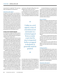no provision for a reply brief.<sup>27</sup> The court may allow oral argument in its discretion.28

## *Disposition of the Appeal*

On appeal of civil county court decisions, a district court may affirm, reverse, remand, or modify the judgment, and in its discretion may remand the case for a new trial with instructions or direct that the case be tried de novo before the district court.29 However, the district court may hold a de novo trial only if the record of the proceedings in the county court has been lost or destroyed or cannot be produced for a valid reason, or if a party has shown that there is new and material evidence that was unknown and undiscoverable at the time of the county court trial and that might affect the outcome if presented de novo in the district court.30

## County Court Criminal Appeals

In criminal proceedings, the district attorney may appeal a question of law decided by a county court, and the defendant may appeal a judgment of the county court.<sup>31</sup>

To appeal a criminal case from the county court, the appellant must file a notice of appeal in the county court within 35 days after the entry of judgment or the denial of post-trial motions, whichever is later.<sup>32</sup> The appellant must also, within the same 35 days, post the advance costs required by the county court for preparation of the record, serve a notice of the appeal upon the appellee, docket the appeal in the district court, and pay the district court docket fee.<sup>33</sup>

Unlike the notice of appeal in a civil case, the notice in a criminal case must state with particularity the alleged errors of the county court or other grounds relied upon for the appeal.<sup>34</sup> Failure to provide at least a minimal description of the issues on appeal could potentially preclude review of those issues in the district court.35

The notice of appeal also must include a stipulation or designation of the evidence and other proceedings the appellant desires to have included in the record certified to the district court.36 And if the appellant intends to argue sufficiency of the evidence, the appellant must designate a transcript of all relevant evidence.<sup>37</sup>

In a criminal case, the docketing of the appeal in the district court is a jurisdictional requirement, although the filing of the notice of appeal in the county court is not.<sup>38</sup>

After being served the notice of appeal and designation of record, the appellee has 14 days to designate any additional parts of the record.39 The appellant must post the advance cost of preparing the additional record within

"

Unlike in a civil appeal, a stay of execution is not automatic in a criminal appeal from a county court, but if a stay is requested before an appeal is docketed, it generally must be granted.

,,

seven days after service of the designation or the appeal will be dismissed.40 If the district court finds that the additional record was not necessary, it is required to order the appellee to reimburse the appellant for the cost advanced, regardless of the outcome of the appeal.41 If for any reason an adequate record cannot be certified to the district court, the case must be tried de novo in the district court.<sup>42</sup>

A criminal defendant is not required to file a motion for new trial before appealing to the district court, and if any such motion is filed it will not limit the issues that may be raised on appeal.43 However, if the court directs a party to file a motion for a new trial on a specific issue, the party may not appeal on that issue if he or she fails to file the motion.<sup>44</sup>

## *Stays and Bonds*

Unlike in a civil appeal, a stay of execution is not automatic in a criminal appeal from a county court, but if a stay is requested before an appeal is docketed, it generally must be granted.<sup>45</sup> There is an exception, however, for a sentence of probation, for which the court has discretion under the probation statutes to determine whether to enter a stay.46 Nonetheless, if the sentence of probation is from a misdemeanor conviction, a county court, upon request, must grant a stay of execution of the sentence pending appeal.<sup>47</sup>

If a sentence of imprisonment has been imposed, the defendant may be required to post bail, and if a fine and costs have been imposed, the court may require a deposit in the same amount.<sup>48</sup>

If the request for a stay is made after the appeal is docketed with the district court, the district court may take the action of ordering a stay.<sup>49</sup>

## *Briefing Deadlines*

In a criminal appeal from the county court, the opening brief of the appellant is due 21 days after certification of the record, and the answer brief of the appellee is due 21 days after service of the opening brief.<sup>50</sup> Unlike in a civil case, the criminal appeal provisions allow an appellant to file a reply brief within 14 days after service of the answer brief.<sup>51</sup> However, there is no provision in the statutes or rules for oral argument in a criminal appeal.52

## *Disposition of the Appeal*

As in civil appeals from county court decisions, the district court may affirm, reverse, remand, or modify the judgment, and in its discretion may remand the case for a new trial with instructions or direct that the case be tried de novo before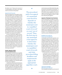the district court.<sup>53</sup> However, the outcome of a criminal appeal to the district court cannot result in an increase in the penalty.54

## *Appeals by the Prosecutor*

The prosecuting attorney may appeal a matter of law to the district court,<sup>55</sup> and may also bring an interlocutory appeal in the district court if the county court has granted a pretrial motion by the defendant for return of property and to suppress evidence, to suppress evidence, or to suppress an extra-judicial confession or admission.<sup>56</sup> The prosecuting attorney must certify to the judge who granted the motion and to the district court that the appeal is not taken for purposes of delay and that the evidence is a substantial part of the proof of the charge pending against the defendant.57 The prosecutor has 14 days from the time of entry of the order being appealed to file the notice of appeal with the district court and pay the docket fee.<sup>58</sup>

In such an interlocutory appeal, the prosecutor's opening brief is due 14 days after the record has been filed in the district court, the answer brief is due 14 days after service of the opening brief, and any reply brief is due seven days after service of the answer brief.<sup>59</sup> The court may order oral argument, but there is no specific provision for requesting it.60 Unless the court orders oral argument and rules on the record and in the presence of the parties, its decision must be by written opinion.61 No petition for rehearing is permitted.62

## Further Appeals in Both Civil and Criminal Cases

Where the district court has acted as an appellate court in reviewing a county court decision, the next appeal is to the Supreme Court upon writ of certiorari.63 However, at least in criminal cases, where the district court directs that the case be tried de novo before the district court, it is not acting as an appellate court, and further appeal is to the Court of Appeals.<sup>64</sup>

A petition for writ of certiorari in the Supreme Court must be filed within 42 days after entry of the district court judgment on appeal.<sup>65</sup> A party may file a petition for rehearing of the district court judgment but is not required to do so. $66$  If a petition for rehearing is filed, the petition for

## "

The procedural path of an appeal of a municipal court decision depends on whether the municipal court is a 'qualified court of record' or court 'not of record.' Thus, the first step in any municipal court appeal is to determine whether the municipal court is a qualified court of record, and what procedural filing deadlines and requirements apply in the appropriate appellate court.

writ of certiorari must be filed within 28 days after the decision on the petition for rehearing.<sup>67</sup> To appeal the outcome of a criminal trial de novo in the district court, an appeal to the Court of Appeals must be filed within 49 days of the date of the entry of the judgment, decree, or order from which the party appeals.<sup>68</sup>

## Appeals of Municipal Court Decisions

The procedural path of an appeal of a municipal court decision depends on whether the municipal court is a "qualified court of record" or court "not of record." Thus, the first step in any municipal court appeal is to determine whether the municipal court is a qualified court of record, and what procedural filing deadlines and requirements apply in the appropriate appellate court. Appeals from municipal courts not of record are controlled by CRS §§ 13-10-116 through -125, and appeals from municipal courts of record are controlled by Crim. P. 37.69

## *Qualified Courts of Record Versus Courts Not of Record*

A municipal court of record is typically a court of general jurisdiction that conducts its proceedings in accordance with the common law and has the ability to fine and imprison as well as hold a party in contempt.<sup>70</sup> The legislature has determined that the Supreme Court, Court of Appeals, district courts, county courts, and juvenile and probate courts in the city and county of Denver each "shall be a court of record," as well as "[a]ny court established by law and expressly denominated a court of record."71 A "qualified municipal court of record" is

a municipal court established by, and operating in conformity with, either local charter or ordinances containing provisions requiring the keeping of a verbatim record of the proceedings and evidence at trials by either electric devices or stenographic means, and requiring as a qualification for the office of judge of such court that he has been admitted to, and is currently licensed in, the practice of law in Colorado.<sup>72</sup>

## *Appeals from Qualified Municipal Courts of Record*

From a qualified municipal court of record, all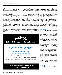appeals are brought to the district court of the county in which the municipal court is located.73 Such appeals are treated as if they were appeals from a county court, and all provisions regarding county court appeals (rather than the rules for municipal court appeals) apply.74 The procedural rules for appealing misdemeanor convictions from county court to district court also apply.75

In a qualified municipal court of record, the municipality may appeal a question of law arising from the municipal proceeding.76

Because the function of the district court in acting as an appellate court is the same whether the appeal originates from a municipal court of record or a county court, the district court has the same range of permissible actions: it may review the municipal court decision on the record, remand the case for a new trial with instructions, or direct that trial de novo be had before the district court.<sup>77</sup>

*Appeals from Municipal Courts Not of Record* On the other hand, if the municipal court is a court not of record, the appeal is brought in the county court in the county in which the municipal court sits, and the appeal is de novo, with the county court applying the municipal rules of procedure.78 In such a case, a party has 14 days to appeal to the county court.<sup>79</sup> The notice of appeal, which must be filed in duplicate, must contain the title of the case; the name and address of the appellant and the appellant's attorney (if any); the offense or violation of which the appellant was convicted; a statement of the judgment, its date, and any fine or sentence imposed; and a statement that the appellant appeals from the judgment.<sup>80</sup>

In a municipal court not of record, the municipality can maintain an action to construe, interpret, or determine the validity of any ordinance or charter provision; however, the



# Colorado Lawyers Helping Lawyers

Have you ever wondered what to do when a colleague needs help with an addiction?

## Do you know where to turn for confidential peer support?

Colorado Lawyers Helping Lawyers, Inc. offers free and confidential support to lawyers, judges, and law students experiencing problems with substance abuse and mental health issues.

## For more information, call 303-832-2233 or visit our website **clhl.org**.

municipality cannot appeal a judgment.<sup>81</sup> The taking of an appeal will not permit a retrial of any matter in which the appellant has been acquitted, or any conjoined charge from the conviction of which the appellant does not seek to appeal.<sup>82</sup> Additionally, rulings on motions in a municipal court not of record are not appealable.<sup>83</sup>

Once the appellant files the notice of appeal and pays the required \$1.50 record fee, the municipal court certifies the record, which includes the original papers in the municipal court file, a transcript of the record, and a copy of the notice of appeal.<sup>84</sup> The appellant must pay a docket fee to the appellate court within 14 days of ordering the transcript, and failure to do so may result in dismissal of the appeal.<sup>85</sup>

#### *Stays and Bonds*

Stays of judgment in the municipal court during an appeal are not automatic and must be requested.86 In a municipal court not of record, if a party desires a stay, the party must post a bond in a sum to be fixed by the municipal court and in an amount not exceeding double the amount of the judgment for fines and costs, plus an amount commensurate with any jail sentence, which "shall be not less than fifty dollars nor more than a sum equal to two dollars for each day of jail sentence imposed."87 No stay of execution may be granted until the appellant executes the approved bond.<sup>88</sup> The bond is conditioned on the appellant duly prosecuting the appeal, satisfying any judgment that may be rendered by the appellate court, and surrendering himself or herself in satisfaction of the appellate judgment if required.89 The municipality may also provide by ordinance other bond terms and conditions that are not inconsistent with the applicable statutes.90 Thus, parties should review municipal ordinances for any further bond requirements.

Although the municipal appeal procedures of Article 10 do not govern appeals from qualified municipal courts of record, presumably the stay provisions in CRS § 13-10-120, not being limited to appeals, still apply to such cases.<sup>91</sup>

## *Further Appeal*

In the case of a decision from the district court on appeal from a municipal court of record, the next appeal available is by writ of certiorari to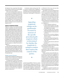the Supreme Court, except that, if the district court conducts a trial de novo, the next appeal would be in the Court of Appeals.<sup>92</sup>

In the case of a decision from a trial de novo in the county court resulting from a decision out of a municipal court not of record, because the county court is acting in its capacity as a trial court by conducting a trial de novo, presumably the next appeal would be taken to the district court under CRS § 13-6-310, as the party's first appeal of right.93 Then, if a further appeal is desired, it would be by writ of certiorari to the Supreme Court.<sup>94</sup>

## Appeals of Magistrate Rulings

Magistrate rulings are becoming increasingly common, especially in the area of domestic relations. Appealing magistrate rulings can be problematic if counsel is unaware of the specific procedural path required, which is determined by whether the magistrate is acting in a matter that requires the consent of the parties. Where the parties' consent is not necessary, the party wishing to appeal must file a petition for review with the district court before appealing to the next higher court.<sup>95</sup> But where the consent of the parties is necessary and was given, the appeal is pursuant to the Colorado Appellate Rules in the same manner as a district court order or judgment.<sup>96</sup>

Note that in certain types of cases, such as juvenile, dependency and neglect, and probate proceedings, the appeal deadline may be earlier and the procedures may be different.<sup>97</sup> Therefore, counsel should always double-check any applicable statutes and rules before proceeding in a particular case.

#### *Whether Consent is Necessary*

Colorado Rules for Magistrates (CRM) 6 governs whether consent is necessary for a magistrate to preside over a specific proceeding.

In criminal cases, consent is not necessary except for the entry of guilty pleas, the entry of deferred prosecution and deferred sentence pleas, the modification of terms and conditions of probation or deferred prosecutions and deferred sentences, and the imposition of stipulated sentences to probation in cases assigned to problem-solving courts.98

In domestic matters arising under Title 14, consent is required when a magistrate is presiding over contested hearings that result in permanent orders concerning property division, maintenance, child support, or allocation of

"

Appealing magistrate rulings can be problematic if counsel is unaware of the specific procedural path required, which is determined by whether the magistrate is acting in a matter that requires the consent of the parties.

,,

parental responsibilities.99 However, consent is not required for a magistrate to preside over motions to modify permanent orders concerning these same types of matters.100 Consent is also not required for a magistrate to determine an order concerning child support filed pursuant to CRS §§ 26-13-101 et seq. or for any other function authorized by statute.<sup>101</sup>

But whether a case is proceeding pursuant to Title 14 is not always clear. For instance, the Court of Appeals has recognized that issues regarding common law marriage may arise in a variety of cases and has held that where the issues arise in the dissolution of marriage context the case remains a "family law case" rather than a "civil case" for purposes of the consent requirements and appeal provisions.102

In other civil cases, no consent is necessary for a magistrate to

- conduct settlement conferences;
- conduct default hearings, enter judgments pursuant to CRCP 55, and conduct post-judgment proceedings;
- conduct hearings and enter orders authorizing a sale pursuant to CRCP 120;
- conduct hearings as a master pursuant to CRCP 53;
- hear and rule on motions relating to disclosure, discovery, and all CRCP 16 and 16.1 matters;
- conduct proceedings involving protection orders pursuant to CRS §§ 13-14-101 et seq.; and
- conduct any other function authorized by statute.<sup>103</sup>

Consent is necessary in all other civil matters, except that a magistrate may not (even with consent) preside over jury trials.104

In juvenile cases, the magistrate's powers are pursuant to Title 19, Article 1, and unless otherwise provided in the statute, consent is required.105

Finally, in probate and mental health cases, no consent is necessary for a magistrate to perform duties that may be delegated to or performed by a probate registrar, magistrate, or clerk pursuant to Colorado Rules of Probate Procedure (CRPP) 34 and 35; to hear and rule on petitions for emergency protective orders and petitions for temporary orders; and to conduct any other function authorized by statute.<sup>106</sup> Consent is required, however, for hearings and rulings on matters filed pursuant to CRS Titles 15, 25, and 27.107

A magistrate is required to specify in any appealable order whether consent was neces-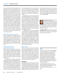sary and whether the party is required to file a petition for review or appeal directly to the appellate court.108 But counsel cannot rely on such notice. If the magistrate includes erroneous language in an order where consent was not necessary and the party fails to timely seek district court review as a result, that error will not confer jurisdiction on the Court of Appeals, although the district court may have grounds to review the untimely petition.109 And divisions of the Court of Appeals are in disagreement as to whether the Court may apply the unique circumstances doctrine to extend the deadline for filing a notice of appeal, where the party received erroneous notice from the magistrate.110 Moreover, where the proceeding is one that does not require consent of the parties, the fact that the parties did consent to the proceeding does not eliminate the requirement of a petition for review before appeal.<sup>111</sup>

## *Appeals Where Consent was Necessary*

Orders or judgments by a magistrate issued when consent is necessary and was given are *not* subject to review in the district court, but rather are appealed in the same manner as an order or judgment of a district court.<sup>112</sup> Thus, appeal in these cases is usually directly to the Court of Appeals under the Colorado Appellate  $\rm Rules.^{113}$ 

## *Petitions for Review Where Consent was Not Necessary*

Where consent of the parties is not necessary, a party wishing to appeal a final magistrate order or judgment must file with the district court a petition for review within 14 days if the parties are present when the order or judgment is entered, or within 21 days if the order or judgment is mailed or otherwise transmitted to the parties.<sup>114</sup>

Any request for an extension of time to file a petition for review must be made with the reviewing judge within the 21-day time limit.<sup>115</sup> The rules do not authorize any motions that would toll the time for seeking review in the district court,116 nor do they authorize a magistrate to act on a motion for reconsideration. But if a motion for reconsideration is filed within the 21-day time limit, it may (but will not always)

be treated as petition for review by the district court.117 And a motion to correct a clerical error filed with the magistrate pursuant to CRCP 60(a) does not constitute a petition for review and does not extend the time for filing such a petition.<sup>118</sup>

The petition for review must state with particularity the alleged errors in the magistrate's order or judgment and may be accompanied by a memorandum brief.<sup>119</sup> Within 14 days after being served with a petition for review, a party may file a memorandum brief in opposition.120 There is no specific provision allowing for a reply brief. A party petitioning for review is not required to prepare and file the transcripts with the district court, but failure to do so results in a presumption that the record would support the magistrate's order.<sup>121</sup>

On petition for review, the reviewing judge may rule solely on the petition and briefs or may conduct further proceedings, take additional evidence, or order a trial de novo in the district court.122 A reviewing judge cannot alter findings of fact unless they are clearly erroneous.123 The reviewing judge must adopt, reject, or modify the magistrate's order or judgment in a written order, which becomes the order or judgment of the district court.<sup>124</sup> Petitions for review, if not addressed by the district court, are not deemed denied under CRCP 59(j).<sup>125</sup>

## *Further Appeal*

Failure to timely seek review by the district court when required results in a waiver of the right to appeal to the higher court.<sup>126</sup> If a party wishes to appeal a district court's decision on a petition for review, the appeal is pursuant to the Colorado Appellate Rules in the same manner as any other order or judgment of a district court.<sup>127</sup> Issues not raised in the petition for review are generally viewed as not preserved for purposes of any further appeals.<sup>128</sup>

#### Conclusion

Appealing rulings from municipal and county courts and from magistrates may be critical to ensuring that justice is achieved in a particular case. Yet the statutes and rules governing such appeals are replete with potential procedural pitfalls. While this article provides an overview of the appellate framework for lower court appeals, it does not address every procedural nuance that may arise in a particular case, so counsel must carefully review the statutes and rules to determine the appropriate procedural avenue for appeal.



**Paige Mackey Murray** is a solo practitioner at Paige Mackey Murray LLC and is of counsel at Kaplan Law LLC. Her practice focuses on appellate **I** litigation. Murray is a former law clerk

for Justice Gregory J. Hobbs, Chief Judge Alan Loeb, and Chief Judge Janice B. Davidson paige@paigemackeymurraylaw.com; www. appealscolorado.com**.**

**Coordinating Editors:** Marcy G. Glenn, mglenn@ hollandhart.com; Christina F. Gomez, cgomez@ hollandhart.com; Stephen G. Masciocchi, smasciocchi@hollandhart.com

## NOTES

1. *See* CAR 1(a)(1) ("An appeal to the appellate court may be taken from . . . [a] final judgment of any district, probate, or juvenile court in all actions or special proceedings whether governed by these rules or by the statutes."); CAR Ch. 32, Refs & Annos, Cmt. 2 ("Rules 1 through 48, except where specifically noted otherwise, apply to appeals to either the supreme court or to the court of appeals."). One exception is for interlocutory appeals by a prosecutor under Crim. P. 37.1(g) ("If no procedure is specifically prescribed by this rule, the court shall look to the Rules of Appellate Procedure for guidance.").

2. CRS § 13-6-310(1).

3. For instance, currently Denver County requires a \$200 transcript deposit to be filed with any appeal. www.denvercountycourt.org/ how-and-where-to-file-an-appeal.

4. CRS § 13-6-311(1)(a); Colo. R. Cnty. Ct. Civ. P. 411(a).

5. *Id.*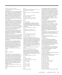6. Colo. R. Cnty. Ct. Civ. P. 411(a).

7. *Tumbarello v. Superior Court*, 575 P.2d 431, 433 (Colo. 1978).

8. Although Crim. P. 37 does not expressly state that filing in district court is jurisdictional, the Court in *Peterson v. People*, 113 P.3d 706, 712 (Colo. 2005), looked to CAR 3(a) and held that filing in the district court invokes the court's appellate jurisdiction. By extension, failure to timely file in the district court under Colo. R. Cnty. Ct. Civ. P. 411 and CRS § 13-6-311 could likewise deprive the district court of jurisdiction over the appeal.

9. The Supreme Court in *Peterson* held that in a criminal case under Crim. P. 37 filing the notice of appeal in county court is not jurisdictional. *Peterson*, 113 P.3d 706, 713. Because the Court relied in part on the principle that "the right to direct appeal of a criminal conviction is fundamental," *id.* at 708, it is unclear whether this holding would be extended to civil appeals.

10. Colo. R. Cnty. Ct. Civ. P. 411(a) requires that the notice be in the form appearing in the Appendix to Chapter 25, Form 4.

11. For instance, the Denver County Court has a required Notice of Appeal and Designation of Record form available on its website, www. denvercountycourt.org/notice-of-appeal-anddesignation-of-record-civil.

12. Neither Colo. R. Cnty. Ct. Civ. P. 411 nor CRS § 13-6-311 provides a deadline for paying any fee required for preparation of the record. However, under Rule 411, the lodging of the transcript must occur within 42 days after filing the notice of appeal. Colo. R. Cnty. Ct. Civ. P. 411(b); CRS § 13-6-311(2)(a).

13. Colo. R. Cnty. Ct. Civ. P. 411(b). Both CRS § 13-6-311(2)(a) and Rule 411(b) delineate a different process for stenographic recordings versus electronic recordings. There is no specific requirement that the appellant file a designation of record, other than for specific transcripts, although the county court may require a formal designation of record.

14. CRS § 13-6-311(2)(b); Colo. R. Cnty. Ct. Civ. P. 411(b).

15. *Id.*

16. *Id.*

17. CRS § 13-6-311(1)(b).

18. *Id.*

19. *Id.* Note that in criminal cases a party is not precluded from raising on appeal issues it did not raise in a motion for new trial. Colo. R. Crim. P. 33(b) ("The court may direct a party to file a motion for a new trial or other relief on any issue. The failure of the party to file such a motion when so ordered shall preclude appellate review of the issues ordered to be raised in the motion. The party, however, need not raise all the issues it intends to raise on appeal in such motion to preserve them for appellate review.").

20. CRS § 13-6-311(1)(b); Colo. R. Cnty. Ct. Civ. P. 411(a).

21. CRS § 13-6-311(1)(a); Colo. R. Cnty. Ct. Civ. P. 411(a).

22. *Id.*

#### 23. *Id.*

24. *O'Donnell v. State Farm Mut. Auto. Ins. Co.*, 186 P.3d 46, 54 (Colo. 2008).

25. *Id.*

26. Colo. R. Cnty. Ct. Civ. P. 411(d); CRS § 13-6- 311(4).

27. *Id.*

28. Colo. R. Cnty. Ct. Civ. P. 411(d).

29. CRS § 13-6-310(2).

30. Colo. R. Cnty. Ct. Civ. P. 411(d).

31. CRS § 16-2-114(1); Crim. P. 37(a).

33. *Id.*

34. Crim. P. 37(b).

35. *See Waltemeyer v. People ex rel. City of Arvada*, 658 P.2d 264, 265 (Colo. 1983) ("the notice of appeal provided sufficient notice to the parties and the district court of the basis for the appeal").

36. CRS § 16-2-114(2); Crim. P. 37(b).

37. *Id.*

38. *Peterson*, 113 P.3d 706, 708.

39. CRS § 16-2-114(2); Crim. P. 37(b).

40. *Id.*

41. *Id.*

42. CRS § 16-2-114(7); Crim. P. 37(g).

43. Crim. P. 33(a) and (b), 37(a).

44. Crim. P. 33(b).

45. CRS § 16-2-114(6); Crim. P. 37(f).

46. CRS § 18-1.3-202(1)(a) (an order placing a defendant on probation "shall take effect upon entry and, if any appeal is brought, shall remain in effect pending review by an appellate court unless the court grants a stay of probation pursuant to section 16-4-201"); CRS § 18-1.3- § 201(1)(a) ("A person who has been convicted of an offense, other than a class 1 felony or a class 2 petty offense, is eligible to apply to the court for probation.").

47. *People v. Steen*, 318 P.3d 487, 494 (Colo. 2014).

48. CRS § 16-2-114(6); Crim. P. 37(f).

49. *Id.* It is unclear whether the trial court retains jurisdiction to order a stay after the appeal is docketed. It is also unclear whether, after an appeal is docketed, the district court must order a stay when requested or does so in its discretion.

50. CRS § 16-2-114(5); Crim. P. 37(e). 51. *Id.* 52. *Id.* 53. CRS § 13-6-310(2). 54. CRS § 16-2-114(7); Crim. P. 37(g). 55. Crim. P. 37(a). 56. Crim. P. 37.1(a). 57. *Id.* 58. Crim. P. 37.1(b). 59. Crim. P. 37.1(d). 60. Crim. P. 37.1(e). 61. *Id.* 62. *Id.* 63. CRS § 13-6-310(4).

64. *See Bovard v. People*, 99 P.3d 585, 586 (Colo. 2004) (holding, in a criminal case, that "when the district court operates within the sphere of its trial court authority by conducting a trial de novo, the defendant has an appeal of right to the court of appeals from the final judgment of the district court"). This principle likely applies in civil cases as well. *See generally*  Colo. R. Cnty. Ct. Civ. P. 411(e) ("upon trials de novo held in the district court or in cases in which the judgment is modified . . . the judgment shall be that of the district court and enforced therefrom").

65. CAR 52(b)(1).

66. CAR 52(a). No petition for rehearing is allowed for an interlocutory appeal by a prosecutor under Crim. P. 37.1(e).

67. CAR 52(b)(1). The comments to the 2018 revised rule state: "C.A.R. 52 has been revised to recognize that petitions for rehearing of a district court's review of a county court judgment are permissible, and if a petition for rehearing is filed, the petition for writ of certiorari must be filed within 28 days after the district court's denial of the petition for rehearing."

68. CAR 4(b)(1) (prescribing deadline for notice of appeal); CRS § 13-4-102(1) (jurisdiction of court of appeals over final judgments of district courts).

69. Colo. Muni. Ct. R. Proc. 237.

70. *People v. Rodriguez*, 112 P.3d 693, 703–04 (Colo. 2005).

71. CRS § 13-1-111.

72. CRS § 13-10-102(3). *See Normandin v. People*, 91 P.3d 383, 385 (Colo. 2004) (such courts have been described as those "which are presided over by an attorney judge and are required to maintain an official record of in-court proceedings" and courts not of record as "the balance of municipal courts").

73. CRS § 13-10-116(2).

74. *Id. See Normandin*, 91 P.3d 383, 388 (CRS § 13-10-117 deadline for filing a notice of appeal does not apply to appeals out of qualified municipal courts of record).

75. CRS § 13-10-116(2).

76. CRS § 13-10-116(3). 77. *People v. Anderson*, 492 P.2d 844, 845 (Colo. 1972); CRS § 13-6-310(2). 78. CRS § 13-10-116(1); *Rainwater v. Cnty. Court*,

604 P.2d 1195, 1197 (Colo.App. 1979).

79. CRS § 13-10-117.

80. CRS § 13-10-118(1).

81. CRS § 13-10-116(3).

82. CRS § 13-10-118(2). 83. Colo. Muni. Ct. R. Proc. 237(a).

84. CRS §§ 13-10-117 and -119.

85. CRS § 13-10-122.

86. CRS § 13-10-120(1).

87. CRS § 13-10-120(3).

88. CRS § 13-10-117.

89. CRS § 13-10-121(1).

90. CRS § 13-10-121(3).

91. CRS § 13-10-116(2) (municipal court "appeal

<sup>32.</sup> *Id.*